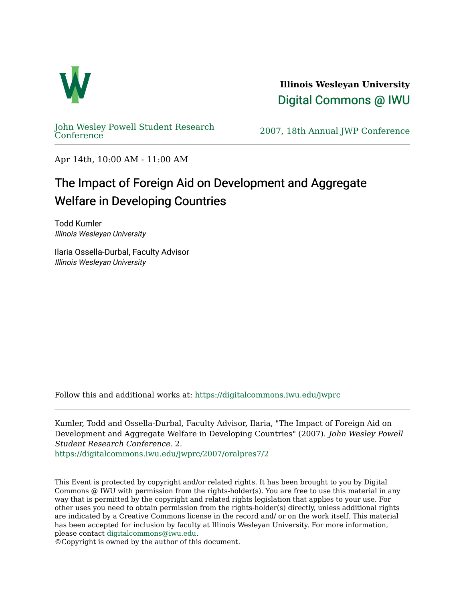

**Illinois Wesleyan University**  [Digital Commons @ IWU](https://digitalcommons.iwu.edu/) 

[John Wesley Powell Student Research](https://digitalcommons.iwu.edu/jwprc) 

2007, 18th Annual JWP [Conference](https://digitalcommons.iwu.edu/jwprc)

Apr 14th, 10:00 AM - 11:00 AM

## The Impact of Foreign Aid on Development and Aggregate Welfare in Developing Countries

Todd Kumler Illinois Wesleyan University

Ilaria Ossella-Durbal, Faculty Advisor Illinois Wesleyan University

Follow this and additional works at: [https://digitalcommons.iwu.edu/jwprc](https://digitalcommons.iwu.edu/jwprc?utm_source=digitalcommons.iwu.edu%2Fjwprc%2F2007%2Foralpres7%2F2&utm_medium=PDF&utm_campaign=PDFCoverPages) 

Kumler, Todd and Ossella-Durbal, Faculty Advisor, Ilaria, "The Impact of Foreign Aid on Development and Aggregate Welfare in Developing Countries" (2007). John Wesley Powell Student Research Conference. 2.

[https://digitalcommons.iwu.edu/jwprc/2007/oralpres7/2](https://digitalcommons.iwu.edu/jwprc/2007/oralpres7/2?utm_source=digitalcommons.iwu.edu%2Fjwprc%2F2007%2Foralpres7%2F2&utm_medium=PDF&utm_campaign=PDFCoverPages)

This Event is protected by copyright and/or related rights. It has been brought to you by Digital Commons @ IWU with permission from the rights-holder(s). You are free to use this material in any way that is permitted by the copyright and related rights legislation that applies to your use. For other uses you need to obtain permission from the rights-holder(s) directly, unless additional rights are indicated by a Creative Commons license in the record and/ or on the work itself. This material has been accepted for inclusion by faculty at Illinois Wesleyan University. For more information, please contact [digitalcommons@iwu.edu.](mailto:digitalcommons@iwu.edu)

©Copyright is owned by the author of this document.